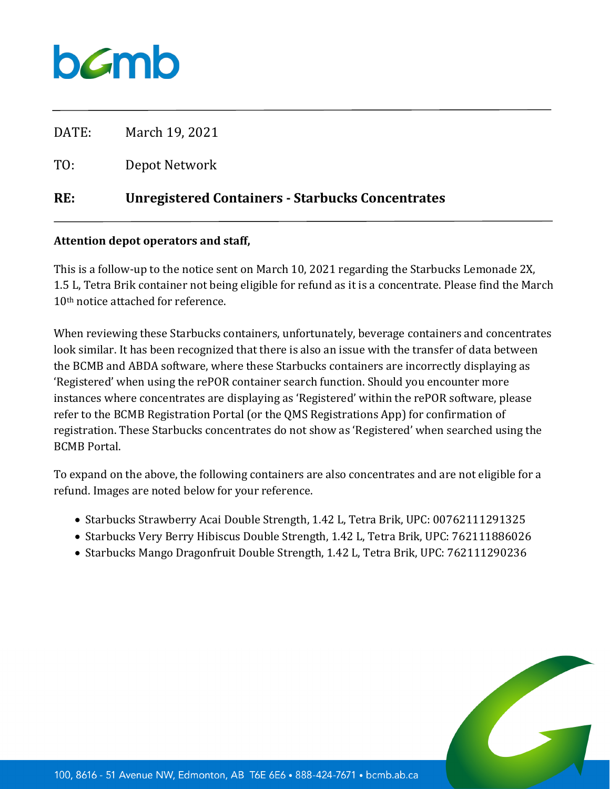

| RE:   | <b>Unregistered Containers - Starbucks Concentrates</b> |
|-------|---------------------------------------------------------|
| TO:   | Depot Network                                           |
| DATE: | March 19, 2021                                          |

## **Attention depot operators and staff,**

This is a follow-up to the notice sent on March 10, 2021 regarding the Starbucks Lemonade 2X, 1.5 L, Tetra Brik container not being eligible for refund as it is a concentrate. Please find the March 10<sup>th</sup> notice attached for reference.

When reviewing these Starbucks containers, unfortunately, beverage containers and concentrates look similar. It has been recognized that there is also an issue with the transfer of data between the BCMB and ABDA software, where these Starbucks containers are incorrectly displaying as 'Registered' when using the rePOR container search function. Should you encounter more instances where concentrates are displaying as 'Registered' within the rePOR software, please refer to the BCMB Registration Portal (or the QMS Registrations App) for confirmation of registration. These Starbucks concentrates do not show as 'Registered' when searched using the BCMB Portal.

To expand on the above, the following containers are also concentrates and are not eligible for a refund. Images are noted below for your reference.

- Starbucks Strawberry Acai Double Strength, 1.42 L, Tetra Brik, UPC: 00762111291325
- Starbucks Very Berry Hibiscus Double Strength, 1.42 L, Tetra Brik, UPC: 762111886026
- Starbucks Mango Dragonfruit Double Strength, 1.42 L, Tetra Brik, UPC: 762111290236